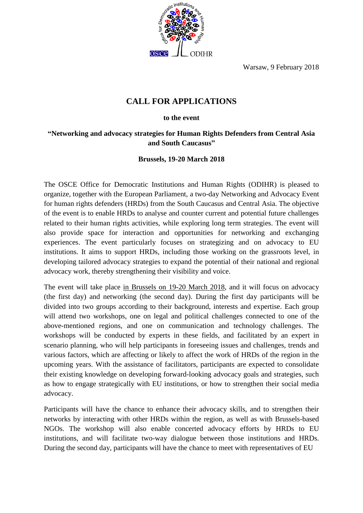Warsaw, 9 February 2018



## **CALL FOR APPLICATIONS**

## **to the event**

## **"Networking and advocacy strategies for Human Rights Defenders from Central Asia and South Caucasus"**

## **Brussels, 19-20 March 2018**

The OSCE Office for Democratic Institutions and Human Rights (ODIHR) is pleased to organize, together with the European Parliament, a two-day Networking and Advocacy Event for human rights defenders (HRDs) from the South Caucasus and Central Asia. The objective of the event is to enable HRDs to analyse and counter current and potential future challenges related to their human rights activities, while exploring long term strategies. The event will also provide space for interaction and opportunities for networking and exchanging experiences. The event particularly focuses on strategizing and on advocacy to EU institutions. It aims to support HRDs, including those working on the grassroots level, in developing tailored advocacy strategies to expand the potential of their national and regional advocacy work, thereby strengthening their visibility and voice.

The event will take place in Brussels on 19-20 March 2018, and it will focus on advocacy (the first day) and networking (the second day). During the first day participants will be divided into two groups according to their background, interests and expertise. Each group will attend two workshops, one on legal and political challenges connected to one of the above-mentioned regions, and one on communication and technology challenges. The workshops will be conducted by experts in these fields, and facilitated by an expert in scenario planning, who will help participants in foreseeing issues and challenges, trends and various factors, which are affecting or likely to affect the work of HRDs of the region in the upcoming years. With the assistance of facilitators, participants are expected to consolidate their existing knowledge on developing forward-looking advocacy goals and strategies, such as how to engage strategically with EU institutions, or how to strengthen their social media advocacy.

Participants will have the chance to enhance their advocacy skills, and to strengthen their networks by interacting with other HRDs within the region, as well as with Brussels-based NGOs. The workshop will also enable concerted advocacy efforts by HRDs to EU institutions, and will facilitate two-way dialogue between those institutions and HRDs. During the second day, participants will have the chance to meet with representatives of EU